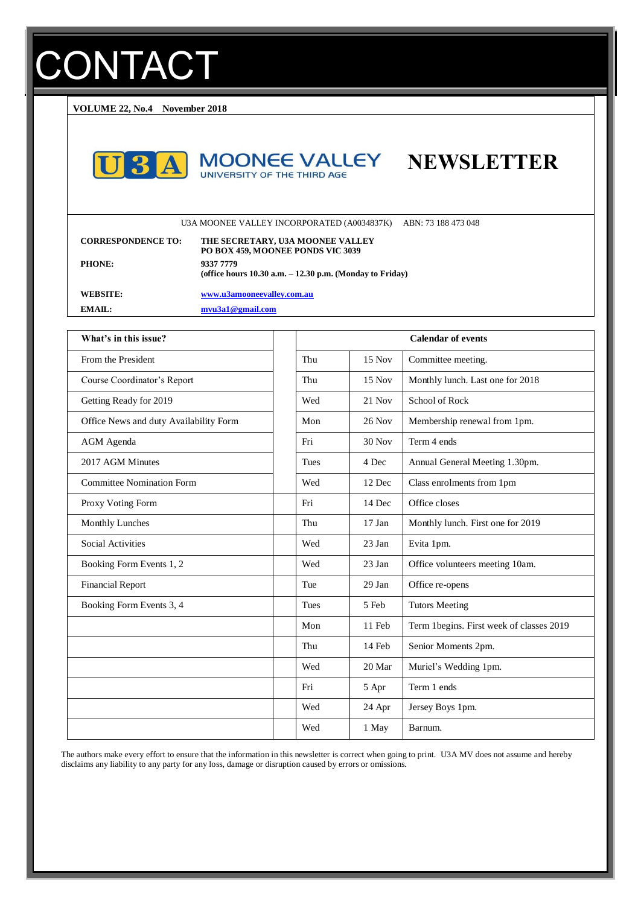# **CONTACT**

**VOLUME 22, No.4 November 2018**







U3A MOONEE VALLEY INCORPORATED (A0034837K) ABN: 73 188 473 048

| <b>CORRESPONDENCE TO:</b> | THE SECRETARY, U3A MOONEE VALLEY<br>PO BOX 459, MOONEE PONDS VIC 3039     |
|---------------------------|---------------------------------------------------------------------------|
| <b>PHONE:</b>             | 9337 7779<br>(office hours $10.30$ a.m. $- 12.30$ p.m. (Monday to Friday) |
| <b>WEBSITE:</b>           | www.u3amooneevalley.com.au                                                |
| EMAIL:                    | mvu3a1@gmail.com                                                          |

| What's in this issue?                  |             | <b>Calendar of events</b> |                                          |  |
|----------------------------------------|-------------|---------------------------|------------------------------------------|--|
| From the President                     | Thu         | 15 Nov                    | Committee meeting.                       |  |
| Course Coordinator's Report            | Thu         | $15$ Nov                  | Monthly lunch. Last one for 2018         |  |
| Getting Ready for 2019                 | Wed         | $21$ Nov                  | School of Rock                           |  |
| Office News and duty Availability Form | Mon         | $26$ Nov                  | Membership renewal from 1pm.             |  |
| <b>AGM</b> Agenda                      | Fri         | $30$ Nov                  | Term 4 ends                              |  |
| 2017 AGM Minutes                       | <b>Tues</b> | 4 Dec                     | Annual General Meeting 1.30pm.           |  |
| <b>Committee Nomination Form</b>       | Wed         | 12 Dec                    | Class enrolments from 1pm                |  |
| Proxy Voting Form                      | Fri         | 14 Dec                    | Office closes                            |  |
| Monthly Lunches                        | Thu         | $17$ Jan                  | Monthly lunch. First one for 2019        |  |
| <b>Social Activities</b>               | Wed         | 23 Jan                    | Evita 1pm.                               |  |
| Booking Form Events 1, 2               | Wed         | 23 Jan                    | Office volunteers meeting 10am.          |  |
| <b>Financial Report</b>                | Tue         | 29 Jan                    | Office re-opens                          |  |
| Booking Form Events 3, 4               | Tues        | 5 Feb                     | <b>Tutors Meeting</b>                    |  |
|                                        | Mon         | 11 Feb                    | Term 1begins. First week of classes 2019 |  |
|                                        | Thu         | 14 Feb                    | Senior Moments 2pm.                      |  |
|                                        | Wed         | 20 Mar                    | Muriel's Wedding 1pm.                    |  |
|                                        | Fri         | 5 Apr                     | Term 1 ends                              |  |
|                                        | Wed         | 24 Apr                    | Jersey Boys 1pm.                         |  |
|                                        | Wed         | 1 May                     | Barnum.                                  |  |

The authors make every effort to ensure that the information in this newsletter is correct when going to print. U3A MV does not assume and hereby disclaims any liability to any party for any loss, damage or disruption caused by errors or omissions.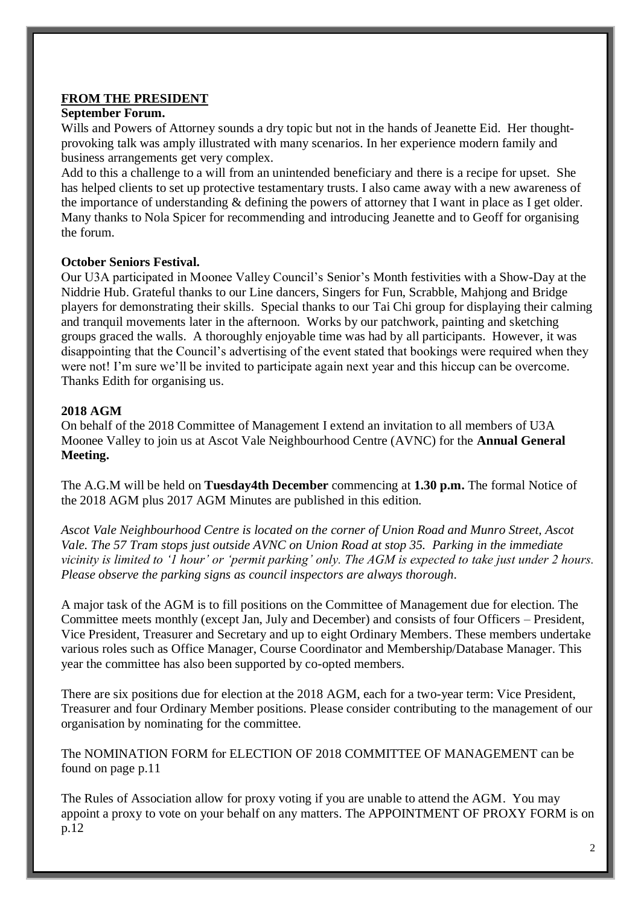# **FROM THE PRESIDENT**

# **September Forum.**

Wills and Powers of Attorney sounds a dry topic but not in the hands of Jeanette Eid. Her thoughtprovoking talk was amply illustrated with many scenarios. In her experience modern family and business arrangements get very complex.

Add to this a challenge to a will from an unintended beneficiary and there is a recipe for upset. She has helped clients to set up protective testamentary trusts. I also came away with a new awareness of the importance of understanding & defining the powers of attorney that I want in place as I get older. Many thanks to Nola Spicer for recommending and introducing Jeanette and to Geoff for organising the forum.

## **October Seniors Festival.**

Our U3A participated in Moonee Valley Council's Senior's Month festivities with a Show-Day at the Niddrie Hub. Grateful thanks to our Line dancers, Singers for Fun, Scrabble, Mahjong and Bridge players for demonstrating their skills. Special thanks to our Tai Chi group for displaying their calming and tranquil movements later in the afternoon. Works by our patchwork, painting and sketching groups graced the walls. A thoroughly enjoyable time was had by all participants. However, it was disappointing that the Council's advertising of the event stated that bookings were required when they were not! I'm sure we'll be invited to participate again next year and this hiccup can be overcome. Thanks Edith for organising us.

# **2018 AGM**

On behalf of the 2018 Committee of Management I extend an invitation to all members of U3A Moonee Valley to join us at Ascot Vale Neighbourhood Centre (AVNC) for the **Annual General Meeting.** 

The A.G.M will be held on **Tuesday4th December** commencing at **1.30 p.m.** The formal Notice of the 2018 AGM plus 2017 AGM Minutes are published in this edition.

*Ascot Vale Neighbourhood Centre is located on the corner of Union Road and Munro Street, Ascot Vale. The 57 Tram stops just outside AVNC on Union Road at stop 35. Parking in the immediate vicinity is limited to '1 hour' or 'permit parking' only. The AGM is expected to take just under 2 hours. Please observe the parking signs as council inspectors are always thorough*.

A major task of the AGM is to fill positions on the Committee of Management due for election. The Committee meets monthly (except Jan, July and December) and consists of four Officers – President, Vice President, Treasurer and Secretary and up to eight Ordinary Members. These members undertake various roles such as Office Manager, Course Coordinator and Membership/Database Manager. This year the committee has also been supported by co-opted members.

There are six positions due for election at the 2018 AGM, each for a two-year term: Vice President, Treasurer and four Ordinary Member positions. Please consider contributing to the management of our organisation by nominating for the committee.

The NOMINATION FORM for ELECTION OF 2018 COMMITTEE OF MANAGEMENT can be found on page p.11

The Rules of Association allow for proxy voting if you are unable to attend the AGM. You may appoint a proxy to vote on your behalf on any matters. The APPOINTMENT OF PROXY FORM is on p.12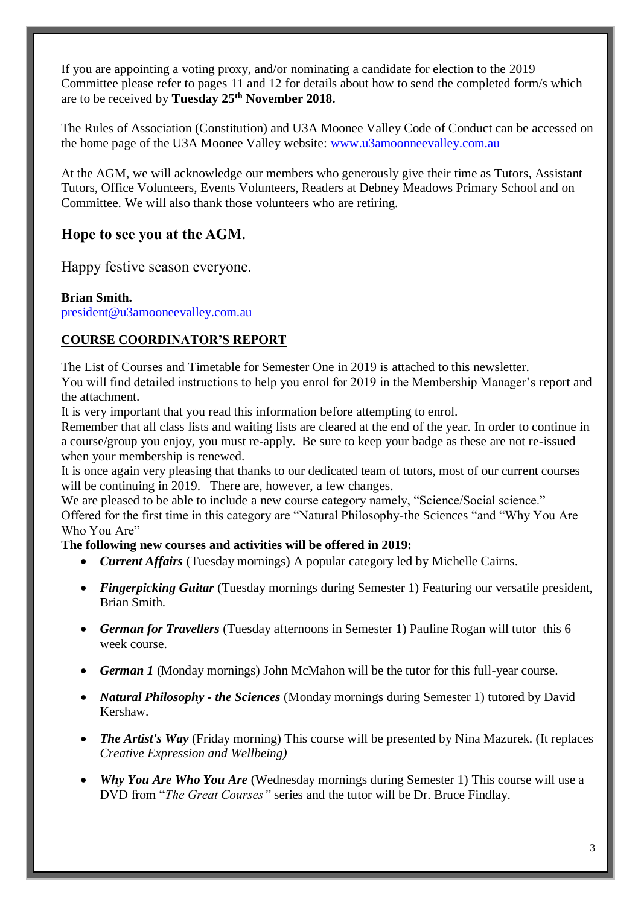If you are appointing a voting proxy, and/or nominating a candidate for election to the 2019 Committee please refer to pages 11 and 12 for details about how to send the completed form/s which are to be received by **Tuesday 25th November 2018.** 

The Rules of Association (Constitution) and U3A Moonee Valley Code of Conduct can be accessed on the home page of the U3A Moonee Valley website: www.u3amoonneevalley.com.au

At the AGM, we will acknowledge our members who generously give their time as Tutors, Assistant Tutors, Office Volunteers, Events Volunteers, Readers at Debney Meadows Primary School and on Committee. We will also thank those volunteers who are retiring.

# **Hope to see you at the AGM.**

Happy festive season everyone.

# **Brian Smith.**

president@u3amooneevalley.com.au

# **COURSE COORDINATOR'S REPORT**

The List of Courses and Timetable for Semester One in 2019 is attached to this newsletter. You will find detailed instructions to help you enrol for 2019 in the Membership Manager's report and the attachment.

It is very important that you read this information before attempting to enrol.

Remember that all class lists and waiting lists are cleared at the end of the year. In order to continue in a course/group you enjoy, you must re-apply. Be sure to keep your badge as these are not re-issued when your membership is renewed.

It is once again very pleasing that thanks to our dedicated team of tutors, most of our current courses will be continuing in 2019. There are, however, a few changes.

We are pleased to be able to include a new course category namely, "Science/Social science." Offered for the first time in this category are "Natural Philosophy-the Sciences "and "Why You Are Who You Are"

# **The following new courses and activities will be offered in 2019:**

- *Current Affairs* (Tuesday mornings) A popular category led by Michelle Cairns.
- *Fingerpicking Guitar* (Tuesday mornings during Semester 1) Featuring our versatile president, Brian Smith.
- *German for Travellers* (Tuesday afternoons in Semester 1) Pauline Rogan will tutor this 6 week course.
- *German 1* (Monday mornings) John McMahon will be the tutor for this full-year course.
- *Natural Philosophy - the Sciences* (Monday mornings during Semester 1) tutored by David Kershaw.
- *The Artist's Way* (Friday morning) This course will be presented by Nina Mazurek. (It replaces *Creative Expression and Wellbeing)*
- *Why You Are Who You Are* (Wednesday mornings during Semester 1) This course will use a DVD from "*The Great Courses"* series and the tutor will be Dr. Bruce Findlay.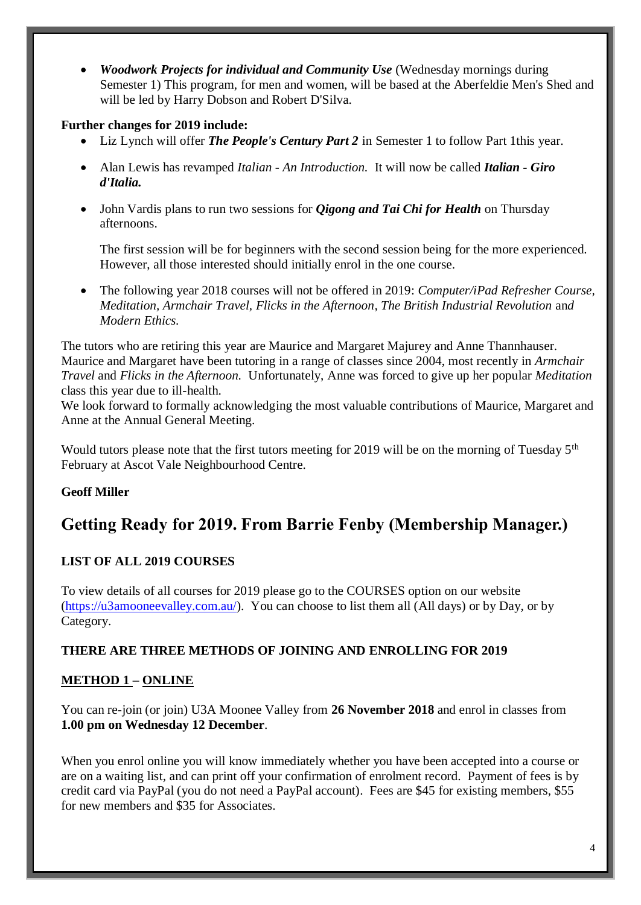• *Woodwork Projects for individual and Community Use* (Wednesday mornings during Semester 1) This program, for men and women, will be based at the Aberfeldie Men's Shed and will be led by Harry Dobson and Robert D'Silva.

# **Further changes for 2019 include:**

- Liz Lynch will offer *The People's Century Part 2* in Semester 1 to follow Part 1this year.
- Alan Lewis has revamped *Italian - An Introduction.* It will now be called *Italian - Giro d'Italia.*
- John Vardis plans to run two sessions for *Qigong and Tai Chi for Health* on Thursday afternoons.

The first session will be for beginners with the second session being for the more experienced*.*  However, all those interested should initially enrol in the one course.

• The following year 2018 courses will not be offered in 2019: *Computer/iPad Refresher Course, Meditation, Armchair Travel, Flicks in the Afternoon, The British Industrial Revolution* an*d Modern Ethics.*

The tutors who are retiring this year are Maurice and Margaret Majurey and Anne Thannhauser. Maurice and Margaret have been tutoring in a range of classes since 2004, most recently in *Armchair Travel* and *Flicks in the Afternoon.* Unfortunately, Anne was forced to give up her popular *Meditation* class this year due to ill-health.

We look forward to formally acknowledging the most valuable contributions of Maurice, Margaret and Anne at the Annual General Meeting.

Would tutors please note that the first tutors meeting for 2019 will be on the morning of Tuesday 5<sup>th</sup> February at Ascot Vale Neighbourhood Centre.

# **Geoff Miller**

# **Getting Ready for 2019. From Barrie Fenby (Membership Manager.)**

# **LIST OF ALL 2019 COURSES**

To view details of all courses for 2019 please go to the COURSES option on our website [\(https://u3amooneevalley.com.au/\)](https://u3amooneevalley.com.au/). You can choose to list them all (All days) or by Day, or by Category.

# **THERE ARE THREE METHODS OF JOINING AND ENROLLING FOR 2019**

# **METHOD 1 – ONLINE**

You can re-join (or join) U3A Moonee Valley from **26 November 2018** and enrol in classes from **1.00 pm on Wednesday 12 December**.

When you enrol online you will know immediately whether you have been accepted into a course or are on a waiting list, and can print off your confirmation of enrolment record. Payment of fees is by credit card via PayPal (you do not need a PayPal account). Fees are \$45 for existing members, \$55 for new members and \$35 for Associates.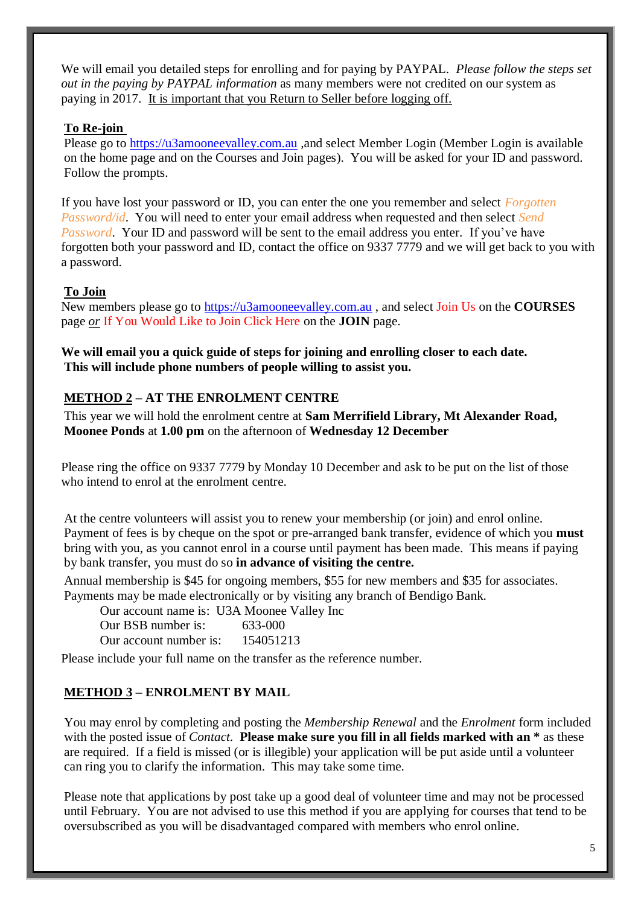We will email you detailed steps for enrolling and for paying by PAYPAL. *Please follow the steps set out in the paying by PAYPAL information* as many members were not credited on our system as paying in 2017. It is important that you Return to Seller before logging off.

#### **To Re-join**

Please go to [https://u3amooneevalley.com.au](https://u3amooneevalley.com.au/) ,and select Member Login (Member Login is available on the home page and on the Courses and Join pages). You will be asked for your ID and password. Follow the prompts.

If you have lost your password or ID, you can enter the one you remember and select *Forgotten Password/id*. You will need to enter your email address when requested and then select *Send Password*. Your ID and password will be sent to the email address you enter. If you've have forgotten both your password and ID, contact the office on 9337 7779 and we will get back to you with a password.

#### **To Join**

New members please go to [https://u3amooneevalley.com.au](https://u3amooneevalley.com.au/) , and select Join Us on the **COURSES** page *or* If You Would Like to Join Click Here on the **JOIN** page.

**We will email you a quick guide of steps for joining and enrolling closer to each date. This will include phone numbers of people willing to assist you.**

#### **METHOD 2 – AT THE ENROLMENT CENTRE**

This year we will hold the enrolment centre at **Sam Merrifield Library, Mt Alexander Road, Moonee Ponds** at **1.00 pm** on the afternoon of **Wednesday 12 December**

Please ring the office on 9337 7779 by Monday 10 December and ask to be put on the list of those who intend to enrol at the enrolment centre.

At the centre volunteers will assist you to renew your membership (or join) and enrol online. Payment of fees is by cheque on the spot or pre-arranged bank transfer, evidence of which you **must**  bring with you, as you cannot enrol in a course until payment has been made. This means if paying by bank transfer, you must do so **in advance of visiting the centre.** 

Annual membership is \$45 for ongoing members, \$55 for new members and \$35 for associates. Payments may be made electronically or by visiting any branch of Bendigo Bank.

Our account name is: U3A Moonee Valley Inc

Our BSB number is: 633-000

Our account number is: 154051213

Please include your full name on the transfer as the reference number.

# **METHOD 3 – ENROLMENT BY MAIL**

You may enrol by completing and posting the *Membership Renewal* and the *Enrolment* form included with the posted issue of *Contact*. **Please make sure you fill in all fields marked with an \*** as these are required. If a field is missed (or is illegible) your application will be put aside until a volunteer can ring you to clarify the information. This may take some time.

Please note that applications by post take up a good deal of volunteer time and may not be processed until February. You are not advised to use this method if you are applying for courses that tend to be oversubscribed as you will be disadvantaged compared with members who enrol online.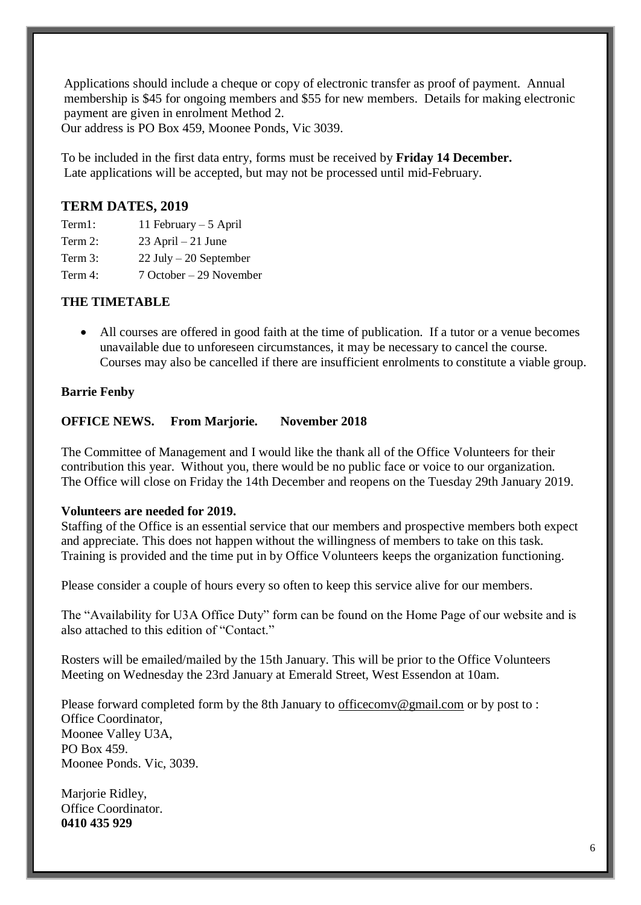Applications should include a cheque or copy of electronic transfer as proof of payment. Annual membership is \$45 for ongoing members and \$55 for new members. Details for making electronic payment are given in enrolment Method 2.

Our address is PO Box 459, Moonee Ponds, Vic 3039.

To be included in the first data entry, forms must be received by **Friday 14 December.** Late applications will be accepted, but may not be processed until mid-February.

# **TERM DATES, 2019**

Term1: 11 February – 5 April

Term 2:  $23$  April – 21 June

Term 3: 22 July – 20 September

Term 4: 7 October – 29 November

## **THE TIMETABLE**

• All courses are offered in good faith at the time of publication. If a tutor or a venue becomes unavailable due to unforeseen circumstances, it may be necessary to cancel the course. Courses may also be cancelled if there are insufficient enrolments to constitute a viable group.

#### **Barrie Fenby**

## **OFFICE NEWS. From Marjorie. November 2018**

The Committee of Management and I would like the thank all of the Office Volunteers for their contribution this year. Without you, there would be no public face or voice to our organization. The Office will close on Friday the 14th December and reopens on the Tuesday 29th January 2019.

#### **Volunteers are needed for 2019.**

Staffing of the Office is an essential service that our members and prospective members both expect and appreciate. This does not happen without the willingness of members to take on this task. Training is provided and the time put in by Office Volunteers keeps the organization functioning.

Please consider a couple of hours every so often to keep this service alive for our members.

The "Availability for U3A Office Duty" form can be found on the Home Page of our website and is also attached to this edition of "Contact."

Rosters will be emailed/mailed by the 15th January. This will be prior to the Office Volunteers Meeting on Wednesday the 23rd January at Emerald Street, West Essendon at 10am.

Please forward completed form by the 8th January to [officecomv@gmail.com](mailto:officecomv@gmail.com) or by post to : Office Coordinator, Moonee Valley U3A, PO Box 459. Moonee Ponds. Vic, 3039.

Marjorie Ridley, Office Coordinator. **0410 435 929**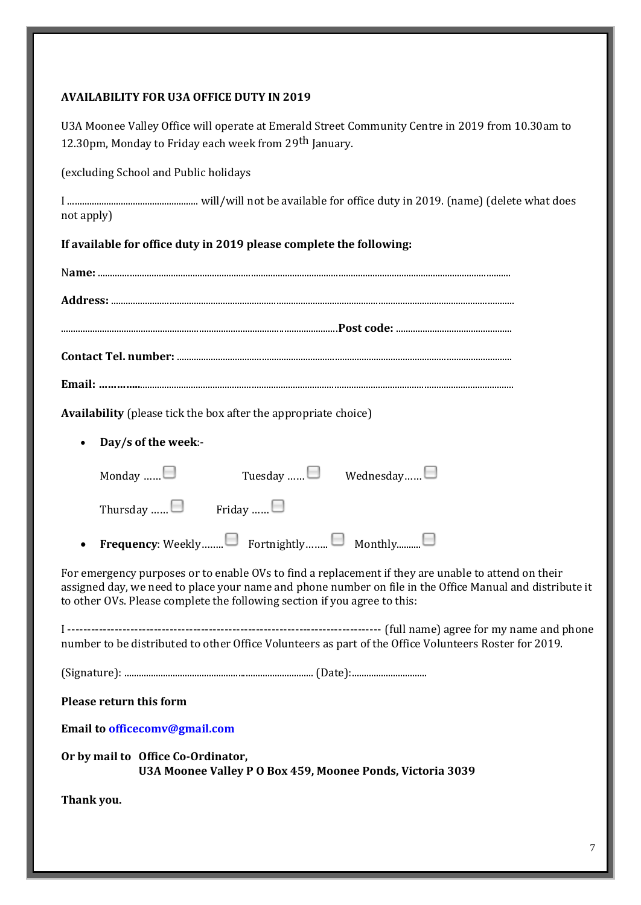# **AVAILABILITY FOR U3A OFFICE DUTY IN 2019**

| U3A Moonee Valley Office will operate at Emerald Street Community Centre in 2019 from 10.30am to<br>12.30pm, Monday to Friday each week from 29 <sup>th</sup> January.                                                                                                                       |
|----------------------------------------------------------------------------------------------------------------------------------------------------------------------------------------------------------------------------------------------------------------------------------------------|
| (excluding School and Public holidays                                                                                                                                                                                                                                                        |
| not apply)                                                                                                                                                                                                                                                                                   |
| If available for office duty in 2019 please complete the following:                                                                                                                                                                                                                          |
|                                                                                                                                                                                                                                                                                              |
|                                                                                                                                                                                                                                                                                              |
|                                                                                                                                                                                                                                                                                              |
|                                                                                                                                                                                                                                                                                              |
|                                                                                                                                                                                                                                                                                              |
| <b>Availability</b> (please tick the box after the appropriate choice)                                                                                                                                                                                                                       |
| Day/s of the week:-<br>$\bullet$                                                                                                                                                                                                                                                             |
| Tuesday $\Box$ Wednesday $\Box$<br>Monday $\Box$                                                                                                                                                                                                                                             |
| Thursday $\Box$ Friday                                                                                                                                                                                                                                                                       |
| Frequency: Weekly□ Fortnightly □ Monthly□<br>$\bullet$                                                                                                                                                                                                                                       |
| For emergency purposes or to enable OVs to find a replacement if they are unable to attend on their<br>assigned day, we need to place your name and phone number on file in the Office Manual and distribute it<br>to other OVs. Please complete the following section if you agree to this: |
| number to be distributed to other Office Volunteers as part of the Office Volunteers Roster for 2019.                                                                                                                                                                                        |
|                                                                                                                                                                                                                                                                                              |
| <b>Please return this form</b>                                                                                                                                                                                                                                                               |
| Email to officecomv@gmail.com                                                                                                                                                                                                                                                                |
| Or by mail to Office Co-Ordinator,<br>U3A Moonee Valley P O Box 459, Moonee Ponds, Victoria 3039                                                                                                                                                                                             |
| Thank you.                                                                                                                                                                                                                                                                                   |
|                                                                                                                                                                                                                                                                                              |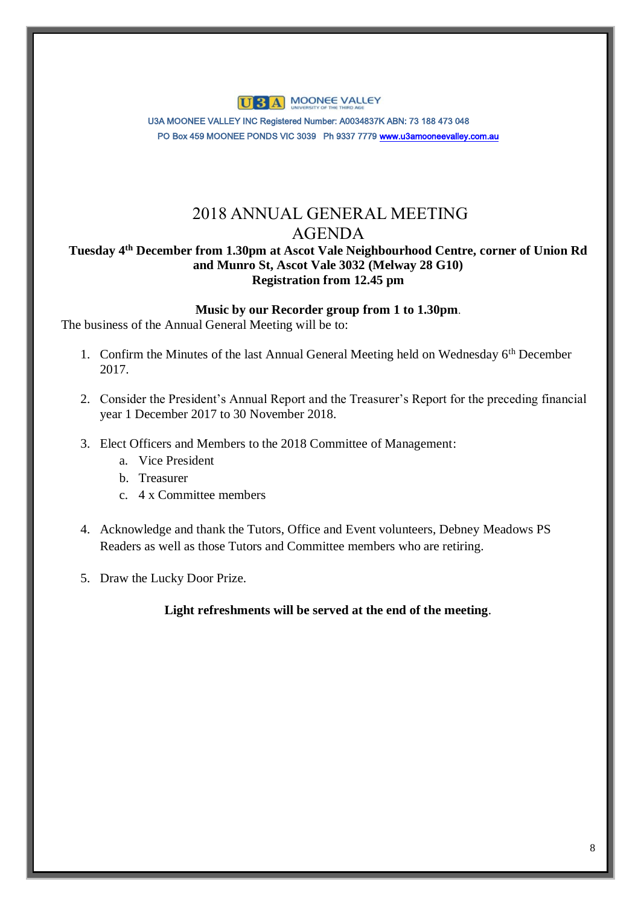

U3A MOONEE VALLEY INC Registered Number: A0034837K ABN: 73 188 473 048 PO Box 459 MOONEE PONDS VIC 3039 Ph 9337 777[9 www.u3amooneevalley.com.au](http://www.u3amooneevalley.com.au/) 

# 2018 ANNUAL GENERAL MEETING AGENDA

# **Tuesday 4th December from 1.30pm at Ascot Vale Neighbourhood Centre, corner of Union Rd and Munro St, Ascot Vale 3032 (Melway 28 G10) Registration from 12.45 pm**

## **Music by our Recorder group from 1 to 1.30pm**.

The business of the Annual General Meeting will be to:

- 1. Confirm the Minutes of the last Annual General Meeting held on Wednesday 6th December 2017.
- 2. Consider the President's Annual Report and the Treasurer's Report for the preceding financial year 1 December 2017 to 30 November 2018.
- 3. Elect Officers and Members to the 2018 Committee of Management:
	- a. Vice President
	- b. Treasurer
	- c. 4 x Committee members
- 4. Acknowledge and thank the Tutors, Office and Event volunteers, Debney Meadows PS Readers as well as those Tutors and Committee members who are retiring.
- 5. Draw the Lucky Door Prize.

# **Light refreshments will be served at the end of the meeting**.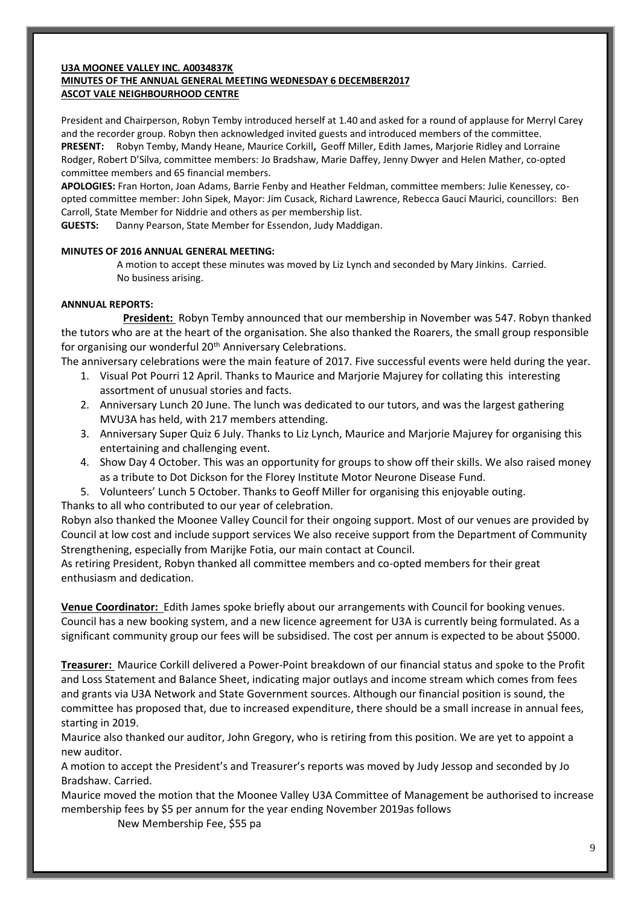#### **U3A MOONEE VALLEY INC. A0034837K MINUTES OF THE ANNUAL GENERAL MEETING WEDNESDAY 6 DECEMBER2017 ASCOT VALE NEIGHBOURHOOD CENTRE**

President and Chairperson, Robyn Temby introduced herself at 1.40 and asked for a round of applause for Merryl Carey and the recorder group. Robyn then acknowledged invited guests and introduced members of the committee. **PRESENT:** Robyn Temby, Mandy Heane, Maurice Corkill**,** Geoff Miller, Edith James, Marjorie Ridley and Lorraine Rodger, Robert D'Silva, committee members: Jo Bradshaw, Marie Daffey, Jenny Dwyer and Helen Mather, co-opted committee members and 65 financial members.

**APOLOGIES:** Fran Horton, Joan Adams, Barrie Fenby and Heather Feldman, committee members: Julie Kenessey, coopted committee member: John Sipek, Mayor: Jim Cusack, Richard Lawrence, Rebecca Gauci Maurici, councillors: Ben Carroll, State Member for Niddrie and others as per membership list.

**GUESTS:** Danny Pearson, State Member for Essendon, Judy Maddigan.

#### **MINUTES OF 2016 ANNUAL GENERAL MEETING:**

 A motion to accept these minutes was moved by Liz Lynch and seconded by Mary Jinkins. Carried. No business arising.

#### **ANNNUAL REPORTS:**

 **President:** Robyn Temby announced that our membership in November was 547. Robyn thanked the tutors who are at the heart of the organisation. She also thanked the Roarers, the small group responsible for organising our wonderful 20<sup>th</sup> Anniversary Celebrations.

The anniversary celebrations were the main feature of 2017. Five successful events were held during the year.

- 1. Visual Pot Pourri 12 April. Thanks to Maurice and Marjorie Majurey for collating this interesting assortment of unusual stories and facts.
- 2. Anniversary Lunch 20 June. The lunch was dedicated to our tutors, and was the largest gathering MVU3A has held, with 217 members attending.
- 3. Anniversary Super Quiz 6 July. Thanks to Liz Lynch, Maurice and Marjorie Majurey for organising this entertaining and challenging event.
- 4. Show Day 4 October. This was an opportunity for groups to show off their skills. We also raised money as a tribute to Dot Dickson for the Florey Institute Motor Neurone Disease Fund.
- 5. Volunteers' Lunch 5 October. Thanks to Geoff Miller for organising this enjoyable outing.

Thanks to all who contributed to our year of celebration.

Robyn also thanked the Moonee Valley Council for their ongoing support. Most of our venues are provided by Council at low cost and include support services We also receive support from the Department of Community Strengthening, especially from Marijke Fotia, our main contact at Council.

As retiring President, Robyn thanked all committee members and co-opted members for their great enthusiasm and dedication.

**Venue Coordinator:** Edith James spoke briefly about our arrangements with Council for booking venues. Council has a new booking system, and a new licence agreement for U3A is currently being formulated. As a significant community group our fees will be subsidised. The cost per annum is expected to be about \$5000.

**Treasurer:** Maurice Corkill delivered a Power-Point breakdown of our financial status and spoke to the Profit and Loss Statement and Balance Sheet, indicating major outlays and income stream which comes from fees and grants via U3A Network and State Government sources. Although our financial position is sound, the committee has proposed that, due to increased expenditure, there should be a small increase in annual fees, starting in 2019.

Maurice also thanked our auditor, John Gregory, who is retiring from this position. We are yet to appoint a new auditor.

A motion to accept the President's and Treasurer's reports was moved by Judy Jessop and seconded by Jo Bradshaw. Carried.

Maurice moved the motion that the Moonee Valley U3A Committee of Management be authorised to increase membership fees by \$5 per annum for the year ending November 2019as follows

New Membership Fee, \$55 pa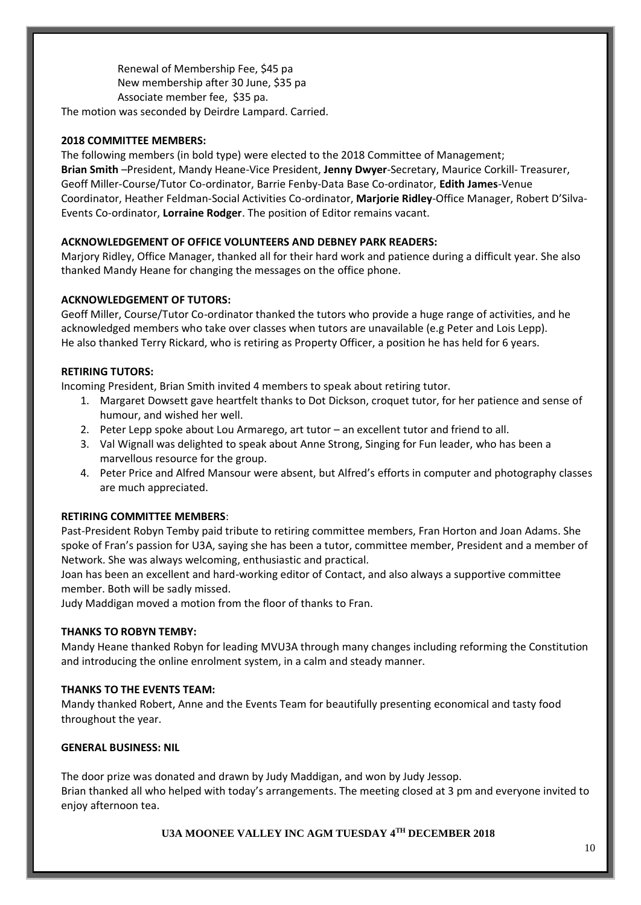Renewal of Membership Fee, \$45 pa New membership after 30 June, \$35 pa Associate member fee, \$35 pa. The motion was seconded by Deirdre Lampard. Carried.

#### **2018 COMMITTEE MEMBERS:**

The following members (in bold type) were elected to the 2018 Committee of Management; **Brian Smith** –President, Mandy Heane-Vice President, **Jenny Dwyer**-Secretary, Maurice Corkill- Treasurer, Geoff Miller-Course/Tutor Co-ordinator, Barrie Fenby-Data Base Co-ordinator, **Edith James**-Venue Coordinator, Heather Feldman-Social Activities Co-ordinator, **Marjorie Ridley**-Office Manager, Robert D'Silva-Events Co-ordinator, **Lorraine Rodger**. The position of Editor remains vacant.

#### **ACKNOWLEDGEMENT OF OFFICE VOLUNTEERS AND DEBNEY PARK READERS:**

Marjory Ridley, Office Manager, thanked all for their hard work and patience during a difficult year. She also thanked Mandy Heane for changing the messages on the office phone.

#### **ACKNOWLEDGEMENT OF TUTORS:**

Geoff Miller, Course/Tutor Co-ordinator thanked the tutors who provide a huge range of activities, and he acknowledged members who take over classes when tutors are unavailable (e.g Peter and Lois Lepp). He also thanked Terry Rickard, who is retiring as Property Officer, a position he has held for 6 years.

#### **RETIRING TUTORS:**

Incoming President, Brian Smith invited 4 members to speak about retiring tutor.

- 1. Margaret Dowsett gave heartfelt thanks to Dot Dickson, croquet tutor, for her patience and sense of humour, and wished her well.
- 2. Peter Lepp spoke about Lou Armarego, art tutor an excellent tutor and friend to all.
- 3. Val Wignall was delighted to speak about Anne Strong, Singing for Fun leader, who has been a marvellous resource for the group.
- 4. Peter Price and Alfred Mansour were absent, but Alfred's efforts in computer and photography classes are much appreciated.

#### **RETIRING COMMITTEE MEMBERS**:

Past-President Robyn Temby paid tribute to retiring committee members, Fran Horton and Joan Adams. She spoke of Fran's passion for U3A, saying she has been a tutor, committee member, President and a member of Network. She was always welcoming, enthusiastic and practical.

Joan has been an excellent and hard-working editor of Contact, and also always a supportive committee member. Both will be sadly missed.

Judy Maddigan moved a motion from the floor of thanks to Fran.

#### **THANKS TO ROBYN TEMBY:**

Mandy Heane thanked Robyn for leading MVU3A through many changes including reforming the Constitution and introducing the online enrolment system, in a calm and steady manner.

#### **THANKS TO THE EVENTS TEAM:**

Mandy thanked Robert, Anne and the Events Team for beautifully presenting economical and tasty food throughout the year.

#### **GENERAL BUSINESS: NIL**

The door prize was donated and drawn by Judy Maddigan, and won by Judy Jessop. Brian thanked all who helped with today's arrangements. The meeting closed at 3 pm and everyone invited to enjoy afternoon tea.

**U3A MOONEE VALLEY INC AGM TUESDAY 4TH DECEMBER 2018**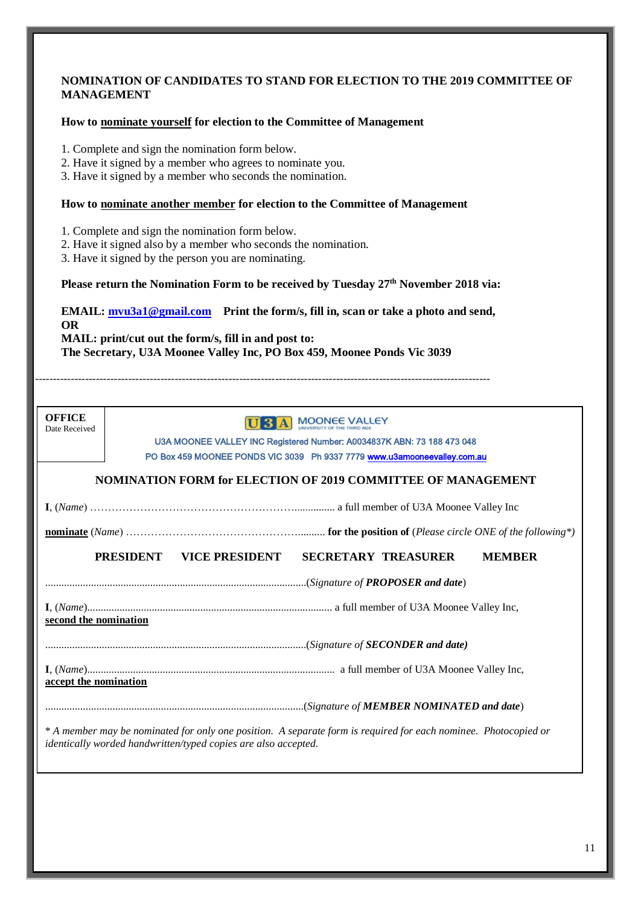#### **NOMINATION OF CANDIDATES TO STAND FOR ELECTION TO THE 2019 COMMITTEE OF MANAGEMENT**

#### **How to nominate yourself for election to the Committee of Management**

- 1. Complete and sign the nomination form below.
- 2. Have it signed by a member who agrees to nominate you.
- 3. Have it signed by a member who seconds the nomination.

#### **How to nominate another member for election to the Committee of Management**

1. Complete and sign the nomination form below.

- 2. Have it signed also by a member who seconds the nomination.
- 3. Have it signed by the person you are nominating.

**Please return the Nomination Form to be received by Tuesday 27th November 2018 via:**

**EMAIL: [mvu3a1@gmail.com](mailto:mvu3a1@gmail.com) Print the form/s, fill in, scan or take a photo and send, OR MAIL: print/cut out the form/s, fill in and post to: The Secretary, U3A Moonee Valley Inc, PO Box 459, Moonee Ponds Vic 3039**

 $-1.1$ 

| <b>OFFICE</b> |
|---------------|
| Date Received |

# U 3 A MOONEE VALLEY

U3A MOONEE VALLEY INC Registered Number: A0034837K ABN: 73 188 473 048 PO Box 459 MOONEE PONDS VIC 3039 Ph 9337 7779 [www.u3amooneevalley.com.au](http://www.u3amooneevalley.com.au/)

l,

#### **NOMINATION FORM for ELECTION OF 2019 COMMITTEE OF MANAGEMENT**

**I**, (*Name*) …………………………………………………............... a full member of U3A Moonee Valley Inc

**nominate** (*Name*) ………………………………………….......... **for the position of** (*Please circle ONE of the following\*)*

#### **PRESIDENT VICE PRESIDENT SECRETARY TREASURER MEMBER**

.................................................................................................(*Signature of PROPOSER and date*)

**I**, (*Name*)........................................................................................... a full member of U3A Moonee Valley Inc,

**second the nomination**

.................................................................................................(*Signature of SECONDER and date)*

**I**, (*Name*)............................................................................................ a full member of U3A Moonee Valley Inc, **accept the nomination**

................................................................................................(*Signature of MEMBER NOMINATED and date*)

\* *A member may be nominated for only one position. A separate form is required for each nominee. Photocopied or identically worded handwritten/typed copies are also accepted.*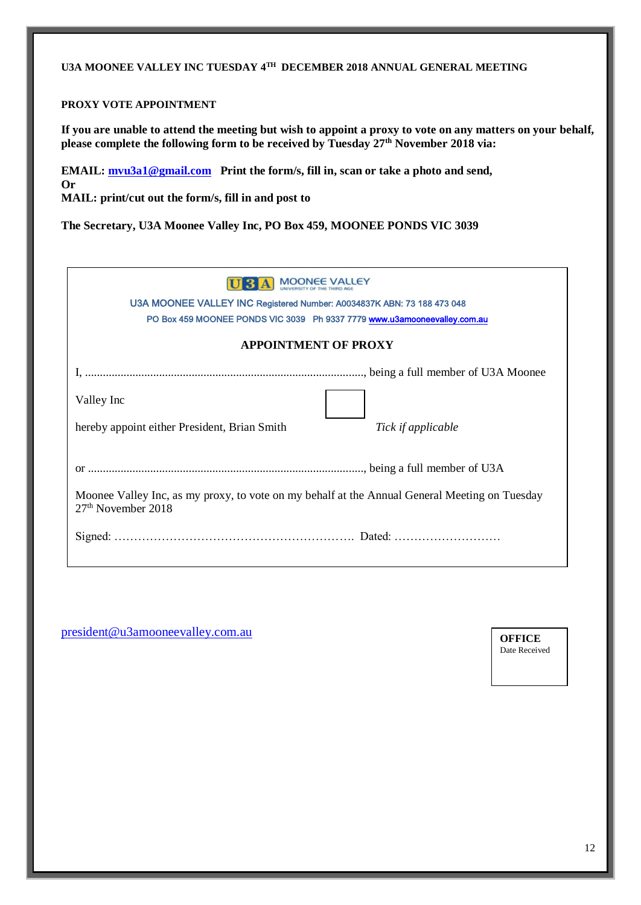# **U3A MOONEE VALLEY INC TUESDAY 4TH DECEMBER 2018 ANNUAL GENERAL MEETING**

#### **PROXY VOTE APPOINTMENT**

**If you are unable to attend the meeting but wish to appoint a proxy to vote on any matters on your behalf, please complete the following form to be received by Tuesday 27th November 2018 via:**

**EMAIL: [mvu3a1@gmail.com](mailto:mvu3a1@gmail.com) Print the form/s, fill in, scan or take a photo and send, Or MAIL: print/cut out the form/s, fill in and post to**

**The Secretary, U3A Moonee Valley Inc, PO Box 459, MOONEE PONDS VIC 3039**

|  |  | <b>U 3 A MOONEE VALLEY</b> |
|--|--|----------------------------|
|--|--|----------------------------|

U3A MOONEE VALLEY INC Registered Number: A0034837K ABN: 73 188 473 048 PO Box 459 MOONEE PONDS VIC 3039 Ph 9337 777[9 www.u3amooneevalley.com.au](http://www.u3amooneevalley.com.au/)

#### **APPOINTMENT OF PROXY**

<u> 1992 - Joseph Joseph John</u>

| Valley Inc                                                                                                                      |                    |
|---------------------------------------------------------------------------------------------------------------------------------|--------------------|
| hereby appoint either President, Brian Smith                                                                                    | Tick if applicable |
|                                                                                                                                 |                    |
|                                                                                                                                 |                    |
| Moonee Valley Inc, as my proxy, to vote on my behalf at the Annual General Meeting on Tuesday<br>27 <sup>th</sup> November 2018 |                    |
|                                                                                                                                 |                    |

[president@u3amooneevalley.com.au](mailto:president@u3amooneevalley.com.au)

**OFFICE**  Date Received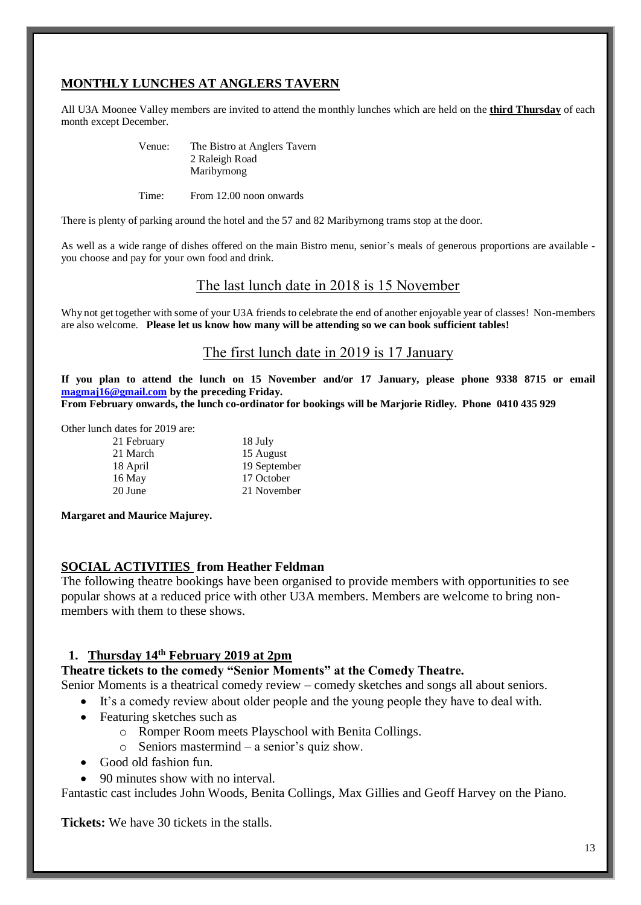# **MONTHLY LUNCHES AT ANGLERS TAVERN**

All U3A Moonee Valley members are invited to attend the monthly lunches which are held on the **third Thursday** of each month except December.

| Venue: | The Bistro at Anglers Tavern |
|--------|------------------------------|
|        | 2 Raleigh Road               |
|        | Maribyrnong                  |

Time: From 12.00 noon onwards

There is plenty of parking around the hotel and the 57 and 82 Maribyrnong trams stop at the door.

As well as a wide range of dishes offered on the main Bistro menu, senior's meals of generous proportions are available you choose and pay for your own food and drink.

# The last lunch date in 2018 is 15 November

Why not get together with some of your U3A friends to celebrate the end of another enjoyable year of classes! Non-members are also welcome. **Please let us know how many will be attending so we can book sufficient tables!**

# The first lunch date in 2019 is 17 January

**If you plan to attend the lunch on 15 November and/or 17 January, please phone 9338 8715 or email [magmaj16@gmail.com](mailto:magmaj16@gmail.com) by the preceding Friday. From February onwards, the lunch co-ordinator for bookings will be Marjorie Ridley. Phone 0410 435 929**

Other lunch dates for 2019 are:

- 21 February 18 July 20 June 21 November
- 21 March 15 August 18 April 19 September 16 May 17 October

**Margaret and Maurice Majurey.**

#### **SOCIAL ACTIVITIES from Heather Feldman**

The following theatre bookings have been organised to provide members with opportunities to see popular shows at a reduced price with other U3A members. Members are welcome to bring nonmembers with them to these shows.

# **1. Thursday 14th February 2019 at 2pm**

#### **Theatre tickets to the comedy "Senior Moments" at the Comedy Theatre.**

Senior Moments is a theatrical comedy review – comedy sketches and songs all about seniors.

- It's a comedy review about older people and the young people they have to deal with.
- Featuring sketches such as
	- o Romper Room meets Playschool with Benita Collings.
	- o Seniors mastermind a senior's quiz show.
- Good old fashion fun.
- 90 minutes show with no interval.

Fantastic cast includes John Woods, Benita Collings, Max Gillies and Geoff Harvey on the Piano.

**Tickets:** We have 30 tickets in the stalls.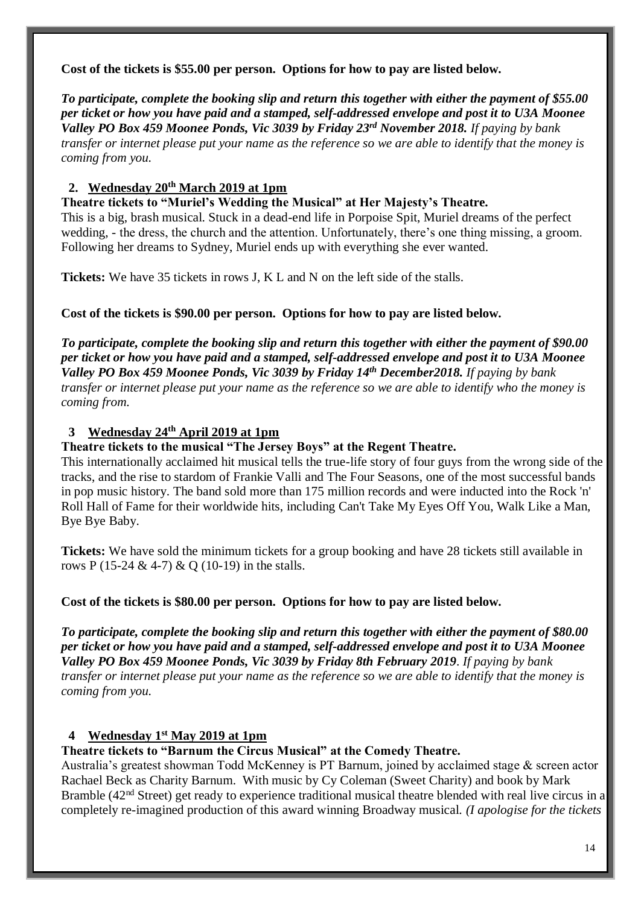**Cost of the tickets is \$55.00 per person. Options for how to pay are listed below.**

*To participate, complete the booking slip and return this together with either the payment of \$55.00 per ticket or how you have paid and a stamped, self-addressed envelope and post it to U3A Moonee Valley PO Box 459 Moonee Ponds, Vic 3039 by Friday 23rd November 2018. If paying by bank transfer or internet please put your name as the reference so we are able to identify that the money is coming from you.*

# **2. Wednesday 20th March 2019 at 1pm**

**Theatre tickets to "Muriel's Wedding the Musical" at Her Majesty's Theatre.** This is a big, brash musical. Stuck in a dead-end life in Porpoise Spit, Muriel dreams of the perfect wedding, - the dress, the church and the attention. Unfortunately, there's one thing missing, a groom. Following her dreams to Sydney, Muriel ends up with everything she ever wanted.

**Tickets:** We have 35 tickets in rows J, K L and N on the left side of the stalls.

# **Cost of the tickets is \$90.00 per person. Options for how to pay are listed below.**

*To participate, complete the booking slip and return this together with either the payment of \$90.00 per ticket or how you have paid and a stamped, self-addressed envelope and post it to U3A Moonee Valley PO Box 459 Moonee Ponds, Vic 3039 by Friday 14th December2018. If paying by bank transfer or internet please put your name as the reference so we are able to identify who the money is coming from.*

# **3 Wednesday 24th April 2019 at 1pm**

# **Theatre tickets to the musical "The Jersey Boys" at the Regent Theatre.**

This internationally acclaimed hit musical tells the true-life story of four guys from the wrong side of the tracks, and the rise to stardom of [Frankie Valli](https://www.broadwayworld.com/people/Frankie-Valli/) and The Four Seasons, one of the most successful bands in pop music history. The band sold more than 175 million records and were inducted into the Rock 'n' Roll Hall of Fame for their worldwide hits, including Can't Take My Eyes Off You, Walk Like a Man, Bye Bye Baby.

**Tickets:** We have sold the minimum tickets for a group booking and have 28 tickets still available in rows P (15-24 & 4-7) & Q (10-19) in the stalls.

# **Cost of the tickets is \$80.00 per person. Options for how to pay are listed below.**

*To participate, complete the booking slip and return this together with either the payment of \$80.00 per ticket or how you have paid and a stamped, self-addressed envelope and post it to U3A Moonee Valley PO Box 459 Moonee Ponds, Vic 3039 by Friday 8th February 2019*. *If paying by bank transfer or internet please put your name as the reference so we are able to identify that the money is coming from you.*

# **4 Wednesday 1st May 2019 at 1pm**

# **Theatre tickets to "Barnum the Circus Musical" at the Comedy Theatre.**

Australia's greatest showman Todd McKenney is PT Barnum, joined by acclaimed stage & screen actor Rachael Beck as Charity Barnum. With music by Cy Coleman (Sweet Charity) and book by Mark Bramble (42<sup>nd</sup> Street) get ready to experience traditional musical theatre blended with real live circus in a completely re-imagined production of this award winning Broadway musical. *(I apologise for the tickets*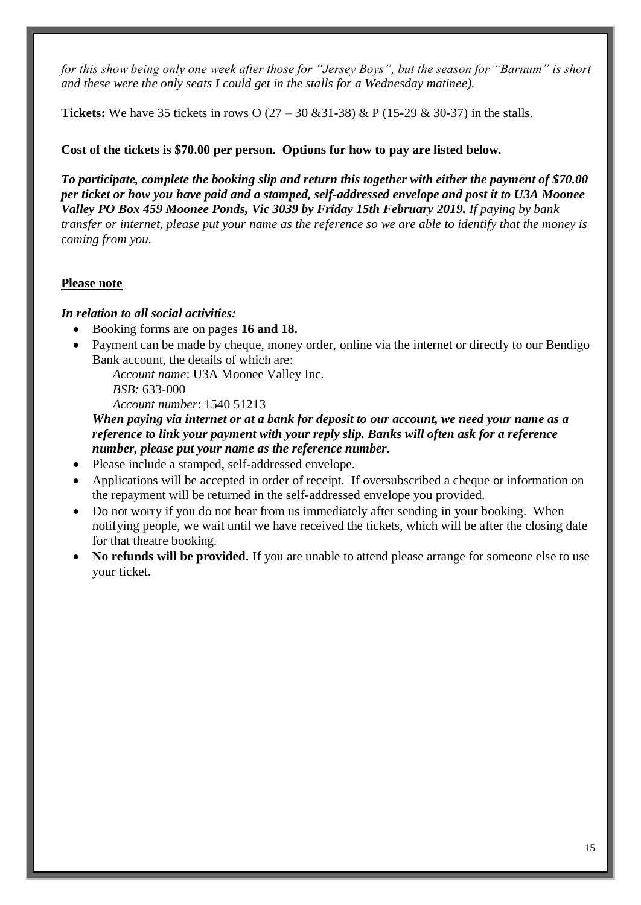*for this show being only one week after those for "Jersey Boys", but the season for "Barnum" is short and these were the only seats I could get in the stalls for a Wednesday matinee).*

**Tickets:** We have 35 tickets in rows O  $(27 – 30 \& 31-38) \& P (15-29 \& 30-37)$  in the stalls.

# **Cost of the tickets is \$70.00 per person. Options for how to pay are listed below.**

*To participate, complete the booking slip and return this together with either the payment of \$70.00 per ticket or how you have paid and a stamped, self-addressed envelope and post it to U3A Moonee Valley PO Box 459 Moonee Ponds, Vic 3039 by Friday 15th February 2019. If paying by bank transfer or internet, please put your name as the reference so we are able to identify that the money is coming from you.*

#### **Please note**

#### *In relation to all social activities:*

- Booking forms are on pages **16 and 18.**
- Payment can be made by cheque, money order, online via the internet or directly to our Bendigo Bank account, the details of which are:

*Account name*: U3A Moonee Valley Inc. *BSB:* 633-000 *Account number*: 1540 51213

*When paying via internet or at a bank for deposit to our account, we need your name as a reference to link your payment with your reply slip. Banks will often ask for a reference number, please put your name as the reference number.*

- Please include a stamped, self-addressed envelope.
- Applications will be accepted in order of receipt. If oversubscribed a cheque or information on the repayment will be returned in the self-addressed envelope you provided.
- Do not worry if you do not hear from us immediately after sending in your booking. When notifying people, we wait until we have received the tickets, which will be after the closing date for that theatre booking.
- **No refunds will be provided.** If you are unable to attend please arrange for someone else to use your ticket.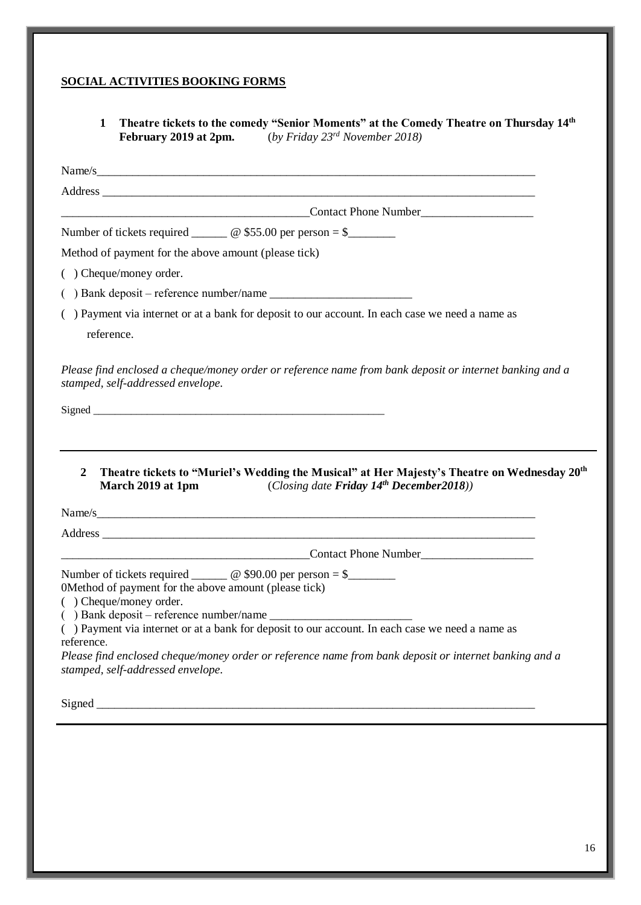# **SOCIAL ACTIVITIES BOOKING FORMS**

**1 Theatre tickets to the comedy "Senior Moments" at the Comedy Theatre on Thursday 14th February 2019 at 2pm.** (*by Friday 23rd November 2018)*

|                                                                                  | Name/s                                                                                                   |
|----------------------------------------------------------------------------------|----------------------------------------------------------------------------------------------------------|
|                                                                                  |                                                                                                          |
|                                                                                  |                                                                                                          |
|                                                                                  | Number of tickets required ________ @ \$55.00 per person = $\frac{1}{2}$                                 |
| Method of payment for the above amount (please tick)                             |                                                                                                          |
| () Cheque/money order.                                                           |                                                                                                          |
|                                                                                  |                                                                                                          |
| reference.                                                                       | () Payment via internet or at a bank for deposit to our account. In each case we need a name as          |
| stamped, self-addressed envelope.                                                | Please find enclosed a cheque/money order or reference name from bank deposit or internet banking and a  |
|                                                                                  |                                                                                                          |
|                                                                                  |                                                                                                          |
| $\boldsymbol{2}$                                                                 | Theatre tickets to "Muriel's Wedding the Musical" at Her Majesty's Theatre on Wednesday 20 <sup>th</sup> |
| March 2019 at 1pm                                                                | (Closing date Friday $14^{th}$ December 2018))                                                           |
|                                                                                  | Name/s                                                                                                   |
|                                                                                  |                                                                                                          |
|                                                                                  | Contact Phone Number Contact Phone Number                                                                |
|                                                                                  | Number of tickets required ________ @ \$90.00 per person = \$________                                    |
|                                                                                  |                                                                                                          |
| 0Method of payment for the above amount (please tick)<br>( ) Cheque/money order. | () Payment via internet or at a bank for deposit to our account. In each case we need a name as          |
|                                                                                  |                                                                                                          |
| reference.<br>stamped, self-addressed envelope.                                  | Please find enclosed cheque/money order or reference name from bank deposit or internet banking and a    |
|                                                                                  |                                                                                                          |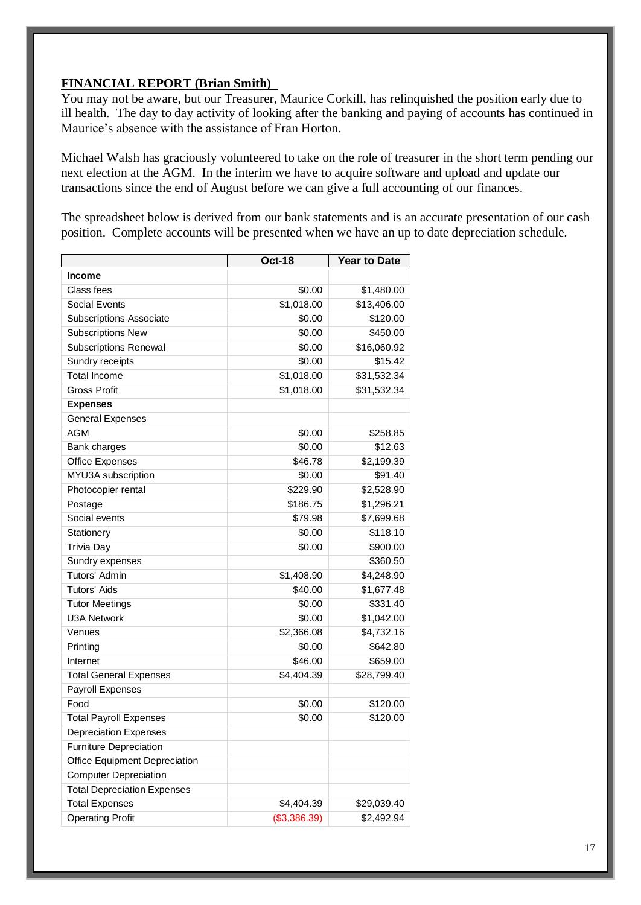#### **FINANCIAL REPORT (Brian Smith)**

You may not be aware, but our Treasurer, Maurice Corkill, has relinquished the position early due to ill health. The day to day activity of looking after the banking and paying of accounts has continued in Maurice's absence with the assistance of Fran Horton.

Michael Walsh has graciously volunteered to take on the role of treasurer in the short term pending our next election at the AGM. In the interim we have to acquire software and upload and update our transactions since the end of August before we can give a full accounting of our finances.

The spreadsheet below is derived from our bank statements and is an accurate presentation of our cash position. Complete accounts will be presented when we have an up to date depreciation schedule.

|                                    | <b>Oct-18</b> | <b>Year to Date</b> |
|------------------------------------|---------------|---------------------|
| <b>Income</b>                      |               |                     |
| Class fees                         | \$0.00        | \$1,480.00          |
| Social Events                      | \$1,018.00    | \$13,406.00         |
| <b>Subscriptions Associate</b>     | \$0.00        | \$120.00            |
| <b>Subscriptions New</b>           | \$0.00        | \$450.00            |
| <b>Subscriptions Renewal</b>       | \$0.00        | \$16,060.92         |
| Sundry receipts                    | \$0.00        | \$15.42             |
| <b>Total Income</b>                | \$1,018.00    | \$31,532.34         |
| <b>Gross Profit</b>                | \$1,018.00    | \$31,532.34         |
| <b>Expenses</b>                    |               |                     |
| <b>General Expenses</b>            |               |                     |
| <b>AGM</b>                         | \$0.00        | \$258.85            |
| Bank charges                       | \$0.00        | \$12.63             |
| <b>Office Expenses</b>             | \$46.78       | \$2,199.39          |
| MYU3A subscription                 | \$0.00        | \$91.40             |
| Photocopier rental                 | \$229.90      | \$2,528.90          |
| Postage                            | \$186.75      | \$1,296.21          |
| Social events                      | \$79.98       | \$7,699.68          |
| Stationery                         | \$0.00        | \$118.10            |
| <b>Trivia Day</b>                  | \$0.00        | \$900.00            |
| Sundry expenses                    |               | \$360.50            |
| Tutors' Admin                      | \$1,408.90    | \$4,248.90          |
| Tutors' Aids                       | \$40.00       | \$1,677.48          |
| <b>Tutor Meetings</b>              | \$0.00        | \$331.40            |
| <b>U3A Network</b>                 | \$0.00        | \$1,042.00          |
| Venues                             | \$2,366.08    | \$4,732.16          |
| Printing                           | \$0.00        | \$642.80            |
| Internet                           | \$46.00       | \$659.00            |
| <b>Total General Expenses</b>      | \$4,404.39    | \$28,799.40         |
| Payroll Expenses                   |               |                     |
| Food                               | \$0.00        | \$120.00            |
| <b>Total Payroll Expenses</b>      | \$0.00        | \$120.00            |
| <b>Depreciation Expenses</b>       |               |                     |
| <b>Furniture Depreciation</b>      |               |                     |
| Office Equipment Depreciation      |               |                     |
| <b>Computer Depreciation</b>       |               |                     |
| <b>Total Depreciation Expenses</b> |               |                     |
| <b>Total Expenses</b>              | \$4,404.39    | \$29,039.40         |
| <b>Operating Profit</b>            | (\$3,386.39)  | \$2,492.94          |